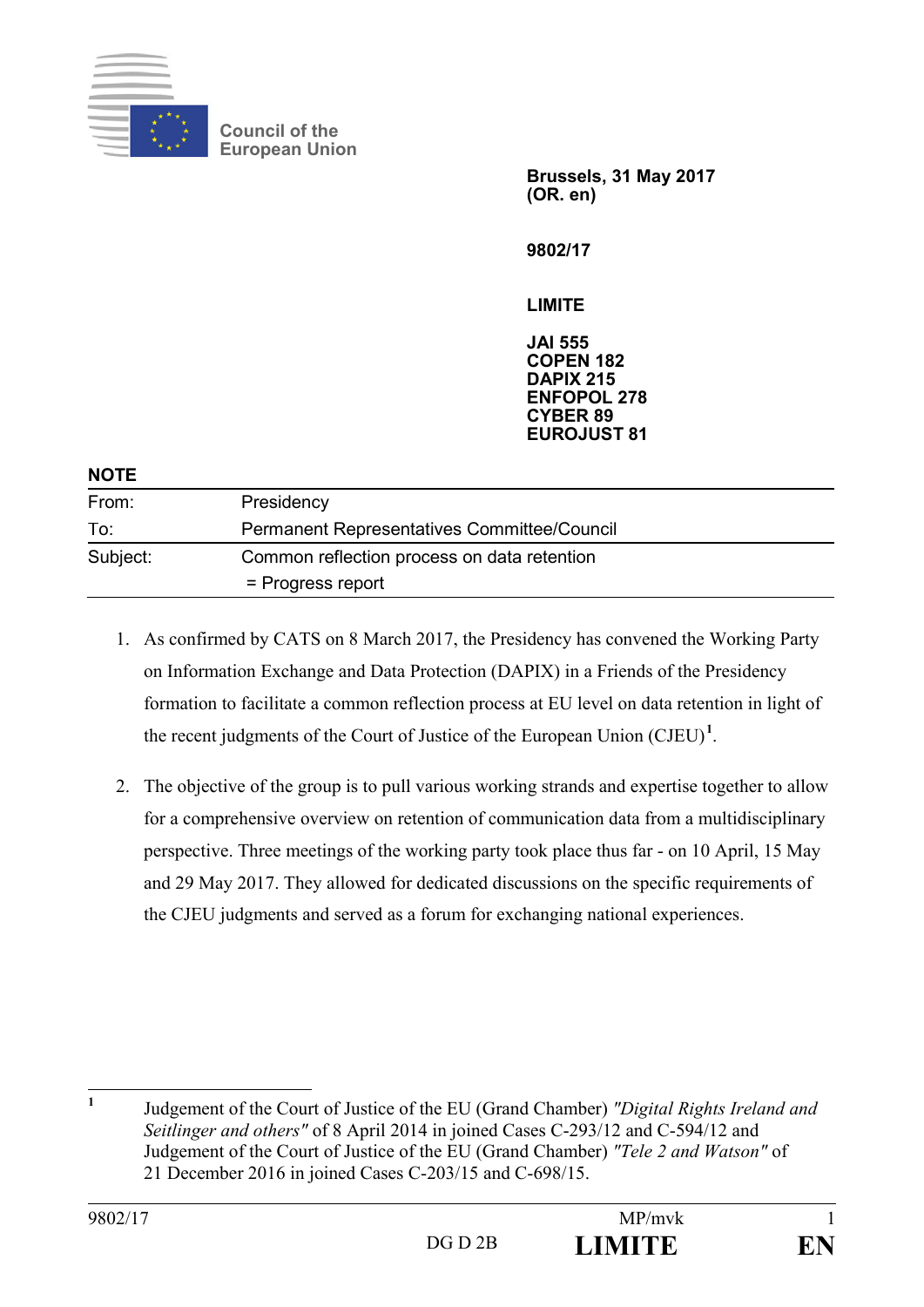

**Council of the European Union** 

> **Brussels, 31 May 2017 (OR. en)**

**9802/17** 

**LIMITE** 

**JAI 555 COPEN 182 DAPIX 215 ENFOPOL 278 CYBER 89 EUROJUST 81** 

| <b>NOTE</b> |                                             |
|-------------|---------------------------------------------|
| From:       | Presidency                                  |
| To:         | Permanent Representatives Committee/Council |
| Subject:    | Common reflection process on data retention |
|             | = Progress report                           |

- 1. As confirmed by CATS on 8 March 2017, the Presidency has convened the Working Party on Information Exchange and Data Protection (DAPIX) in a Friends of the Presidency formation to facilitate a common reflection process at EU level on data retention in light of the recent judgments of the Court of Justice of the European Union  $(CJEU)^1$ .
- 2. The objective of the group is to pull various working strands and expertise together to allow for a comprehensive overview on retention of communication data from a multidisciplinary perspective. Three meetings of the working party took place thus far - on 10 April, 15 May and 29 May 2017. They allowed for dedicated discussions on the specific requirements of the CJEU judgments and served as a forum for exchanging national experiences.

 **1**

Judgement of the Court of Justice of the EU (Grand Chamber) *"Digital Rights Ireland and Seitlinger and others"* of 8 April 2014 in joined Cases C-293/12 and C-594/12 and Judgement of the Court of Justice of the EU (Grand Chamber) *"Tele 2 and Watson"* of 21 December 2016 in joined Cases C-203/15 and C-698/15.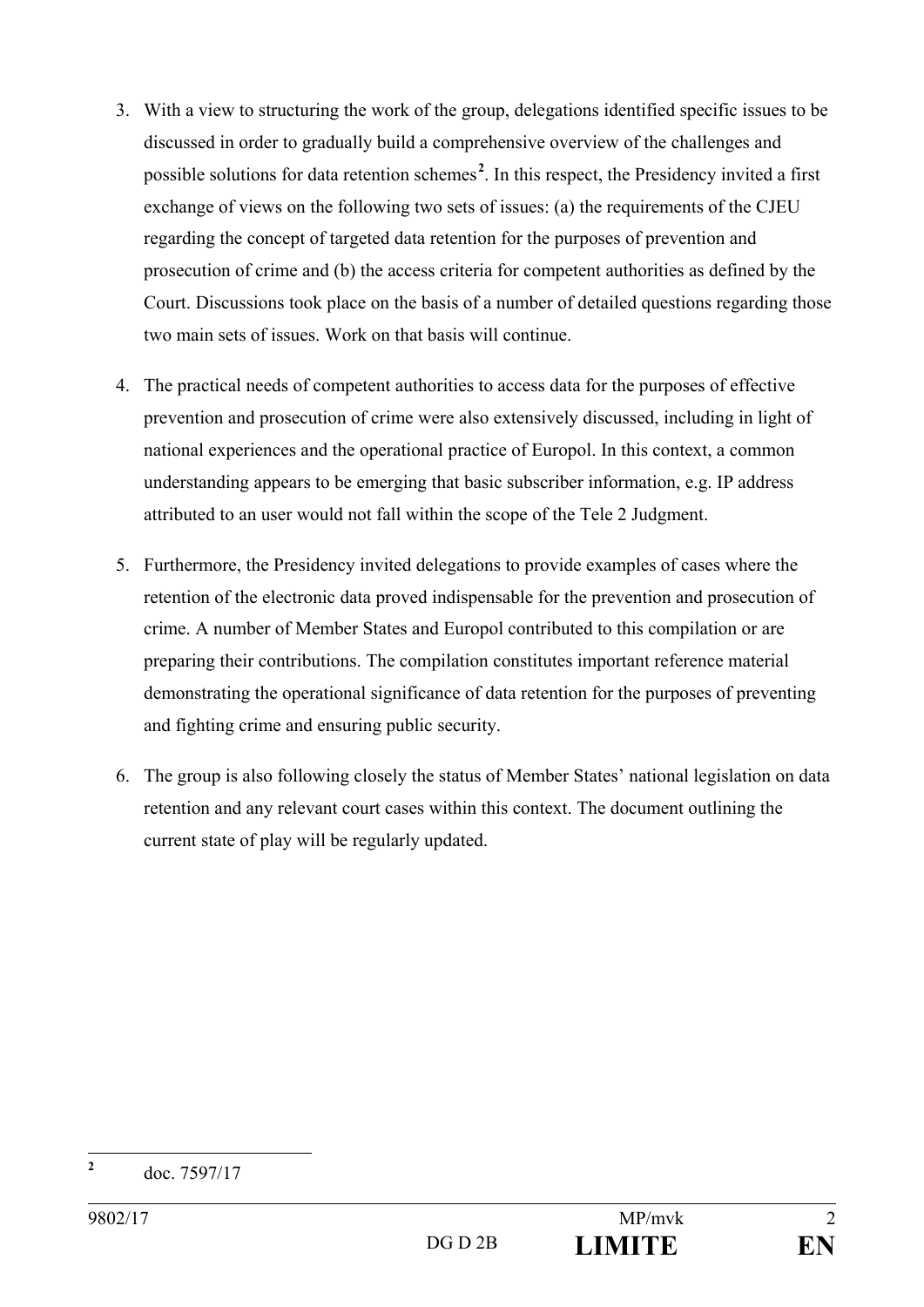- 3. With a view to structuring the work of the group, delegations identified specific issues to be discussed in order to gradually build a comprehensive overview of the challenges and possible solutions for data retention schemes<sup>2</sup>. In this respect, the Presidency invited a first exchange of views on the following two sets of issues: (a) the requirements of the CJEU regarding the concept of targeted data retention for the purposes of prevention and prosecution of crime and (b) the access criteria for competent authorities as defined by the Court. Discussions took place on the basis of a number of detailed questions regarding those two main sets of issues. Work on that basis will continue.
- 4. The practical needs of competent authorities to access data for the purposes of effective prevention and prosecution of crime were also extensively discussed, including in light of national experiences and the operational practice of Europol. In this context, a common understanding appears to be emerging that basic subscriber information, e.g. IP address attributed to an user would not fall within the scope of the Tele 2 Judgment.
- 5. Furthermore, the Presidency invited delegations to provide examples of cases where the retention of the electronic data proved indispensable for the prevention and prosecution of crime. A number of Member States and Europol contributed to this compilation or are preparing their contributions. The compilation constitutes important reference material demonstrating the operational significance of data retention for the purposes of preventing and fighting crime and ensuring public security.
- 6. The group is also following closely the status of Member States' national legislation on data retention and any relevant court cases within this context. The document outlining the current state of play will be regularly updated.

**2**

doc. 7597/17